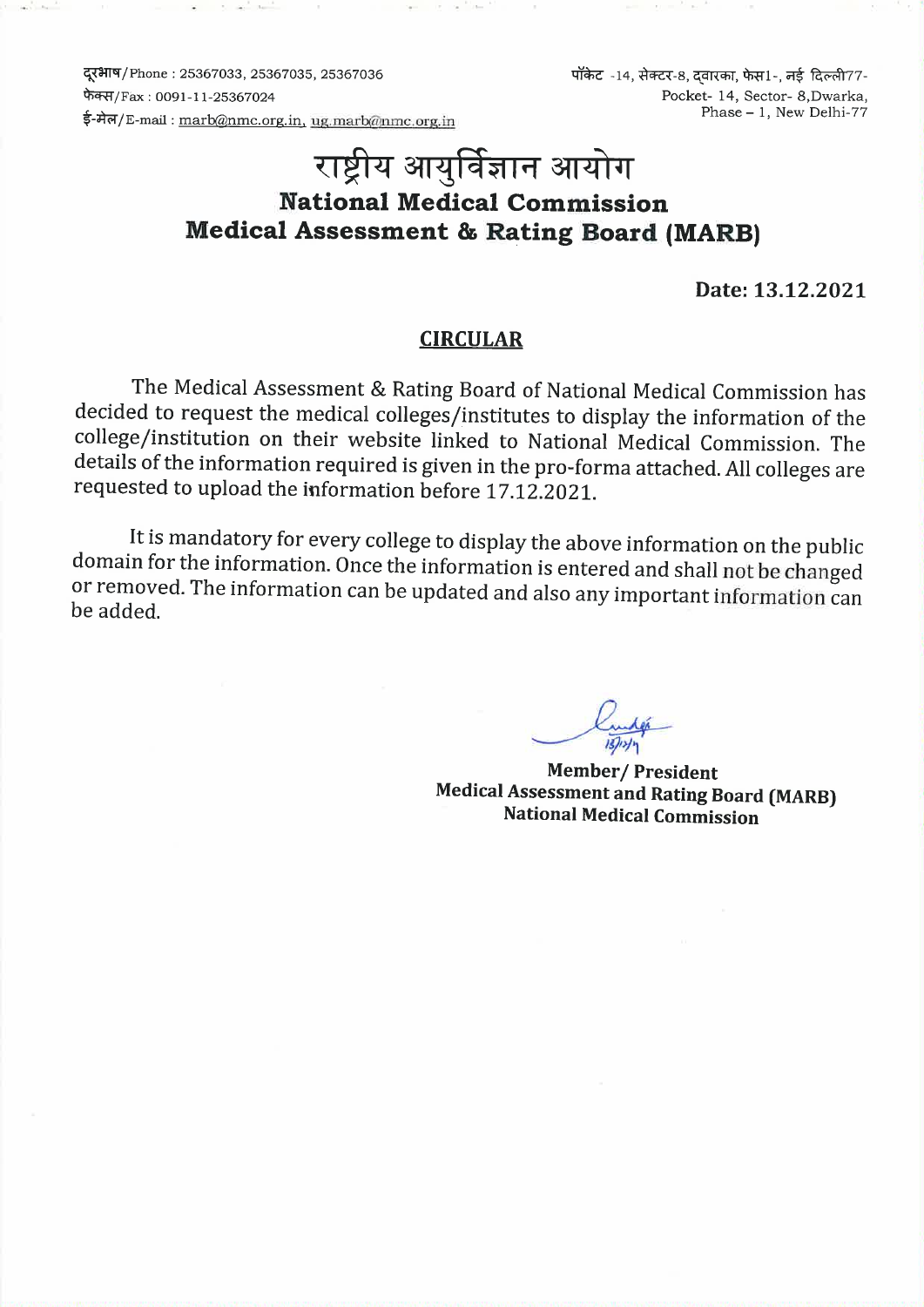दूरभाष/Phone: 25367033, 25367035, 25367036 फेक्स/Fax: 0091-11-25367024 ई-मेल/E-mail: marb@nmc.org.in, ug.marb@nmc.org.in पॉकेट -14, सेक्टर-8, दवारका, फेस1-, नई दिल्ली77-Pocket- 14. Sector- 8. Dwarka. Phase - 1, New Delhi-77

# राष्ट्रीय आयुर्विज्ञान आयोग **National Medical Commission Medical Assessment & Rating Board (MARB)**

Date: 13.12.2021

#### **CIRCULAR**

The Medical Assessment & Rating Board of National Medical Commission has decided to request the medical colleges/institutes to display the information of the college/institution on their website linked to National Medical Commission. The details of the information required is given in the pro-forma attached. All colleges are requested to upload the information before 17.12.2021.

It is mandatory for every college to display the above information on the public domain for the information. Once the information is entered and shall not be changed or removed. The information can be updated and also any important information can be added.

**Member/President Medical Assessment and Rating Board (MARB) National Medical Commission**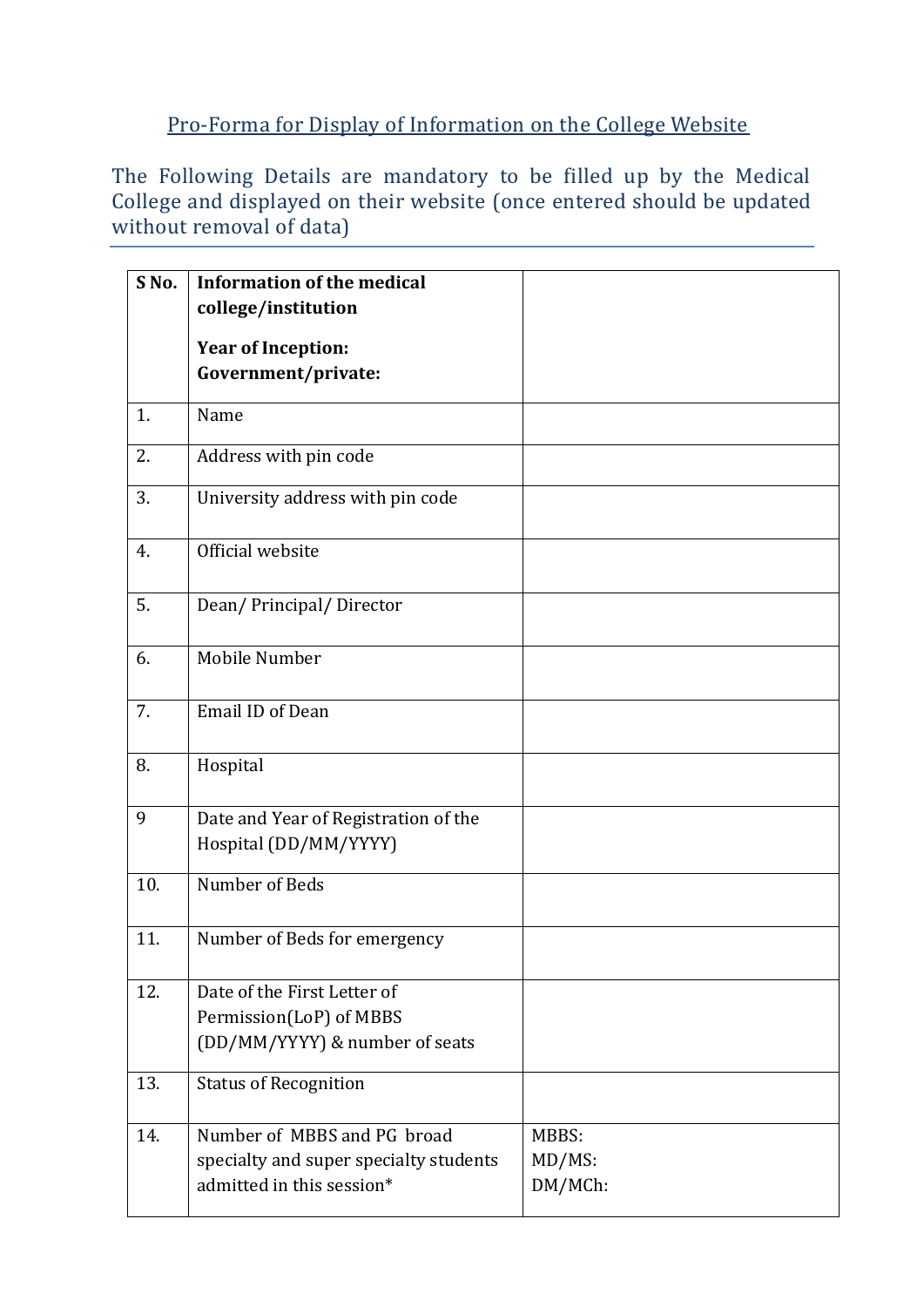## Pro-Forma for Display of Information on the College Website

The Following Details are mandatory to be filled up by the Medical College and displayed on their website (once entered should be updated without removal of data)

| S <sub>No.</sub> | <b>Information of the medical</b><br>college/institution |         |
|------------------|----------------------------------------------------------|---------|
|                  | <b>Year of Inception:</b>                                |         |
|                  | Government/private:                                      |         |
| 1.               | Name                                                     |         |
| 2.               | Address with pin code                                    |         |
| 3.               | University address with pin code                         |         |
| 4.               | Official website                                         |         |
| 5.               | Dean/Principal/Director                                  |         |
| 6.               | Mobile Number                                            |         |
| 7.               | <b>Email ID of Dean</b>                                  |         |
| 8.               | Hospital                                                 |         |
| 9                | Date and Year of Registration of the                     |         |
|                  | Hospital (DD/MM/YYYY)                                    |         |
| 10.              | Number of Beds                                           |         |
| 11.              | Number of Beds for emergency                             |         |
| 12.              | Date of the First Letter of                              |         |
|                  | Permission(LoP) of MBBS                                  |         |
|                  | (DD/MM/YYYY) & number of seats                           |         |
| 13.              | <b>Status of Recognition</b>                             |         |
| 14.              | Number of MBBS and PG broad                              | MBBS:   |
|                  | specialty and super specialty students                   | MD/MS:  |
|                  | admitted in this session*                                | DM/MCh: |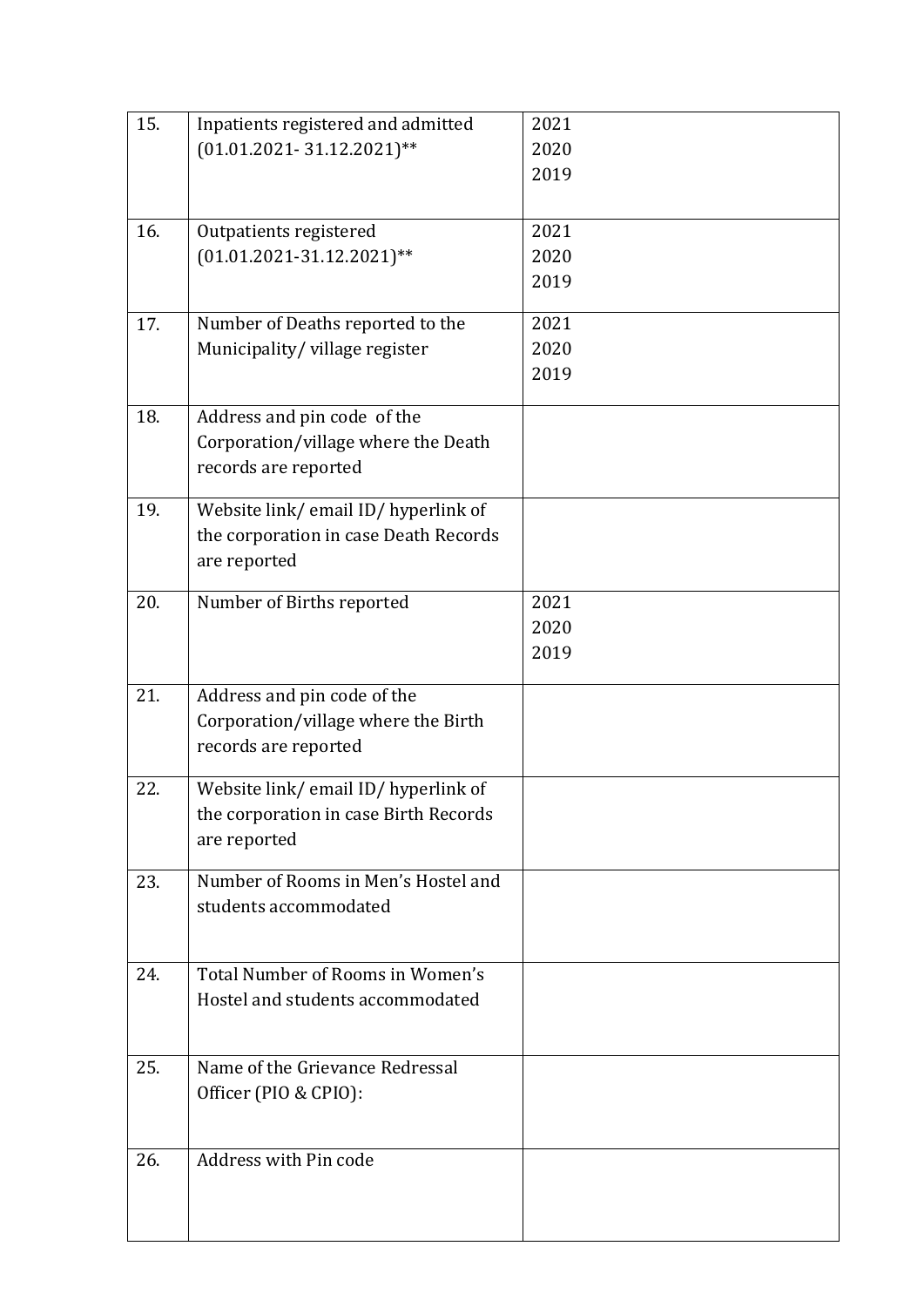| 15. | Inpatients registered and admitted                          | 2021         |
|-----|-------------------------------------------------------------|--------------|
|     | $(01.01.2021 - 31.12.2021)$ **                              | 2020         |
|     |                                                             | 2019         |
|     |                                                             |              |
| 16. | Outpatients registered                                      | 2021         |
|     | $(01.01.2021-31.12.2021)$ **                                | 2020         |
|     |                                                             | 2019         |
|     |                                                             |              |
| 17. | Number of Deaths reported to the                            | 2021<br>2020 |
|     | Municipality/village register                               | 2019         |
|     |                                                             |              |
| 18. | Address and pin code of the                                 |              |
|     | Corporation/village where the Death                         |              |
|     | records are reported                                        |              |
| 19. |                                                             |              |
|     | Website link/email ID/hyperlink of                          |              |
|     | the corporation in case Death Records<br>are reported       |              |
|     |                                                             |              |
| 20. | Number of Births reported                                   | 2021         |
|     |                                                             | 2020         |
|     |                                                             | 2019         |
| 21. |                                                             |              |
|     | Address and pin code of the                                 |              |
|     | Corporation/village where the Birth<br>records are reported |              |
|     |                                                             |              |
| 22. | Website link/email ID/hyperlink of                          |              |
|     | the corporation in case Birth Records                       |              |
|     | are reported                                                |              |
| 23. | Number of Rooms in Men's Hostel and                         |              |
|     | students accommodated                                       |              |
|     |                                                             |              |
|     |                                                             |              |
| 24. | Total Number of Rooms in Women's                            |              |
|     | Hostel and students accommodated                            |              |
|     |                                                             |              |
| 25. | Name of the Grievance Redressal                             |              |
|     | Officer (PIO & CPIO):                                       |              |
|     |                                                             |              |
|     |                                                             |              |
| 26. | Address with Pin code                                       |              |
|     |                                                             |              |
|     |                                                             |              |
|     |                                                             |              |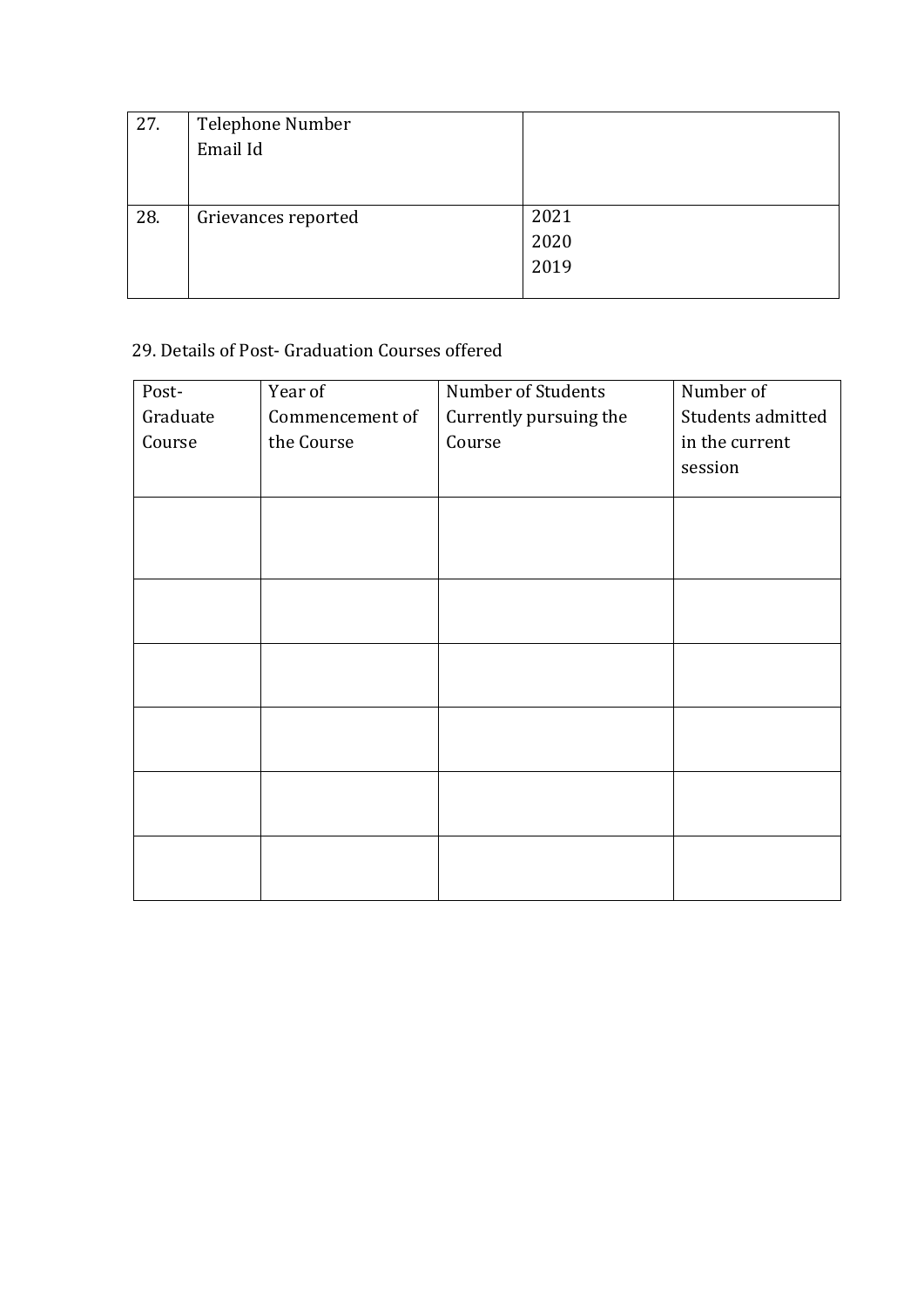| 27. | Telephone Number    |      |
|-----|---------------------|------|
|     | Email Id            |      |
|     |                     |      |
|     |                     |      |
| 28. | Grievances reported | 2021 |
|     |                     | 2020 |
|     |                     | 2019 |
|     |                     |      |

## 29. Details of Post- Graduation Courses offered

| Post-    | Year of              | Number of Students     | Number of         |  |  |  |
|----------|----------------------|------------------------|-------------------|--|--|--|
| Graduate | Commencement of      | Currently pursuing the | Students admitted |  |  |  |
| Course   | Course<br>the Course |                        | in the current    |  |  |  |
|          |                      |                        | session           |  |  |  |
|          |                      |                        |                   |  |  |  |
|          |                      |                        |                   |  |  |  |
|          |                      |                        |                   |  |  |  |
|          |                      |                        |                   |  |  |  |
|          |                      |                        |                   |  |  |  |
|          |                      |                        |                   |  |  |  |
|          |                      |                        |                   |  |  |  |
|          |                      |                        |                   |  |  |  |
|          |                      |                        |                   |  |  |  |
|          |                      |                        |                   |  |  |  |
|          |                      |                        |                   |  |  |  |
|          |                      |                        |                   |  |  |  |
|          |                      |                        |                   |  |  |  |
|          |                      |                        |                   |  |  |  |
|          |                      |                        |                   |  |  |  |
|          |                      |                        |                   |  |  |  |
|          |                      |                        |                   |  |  |  |
|          |                      |                        |                   |  |  |  |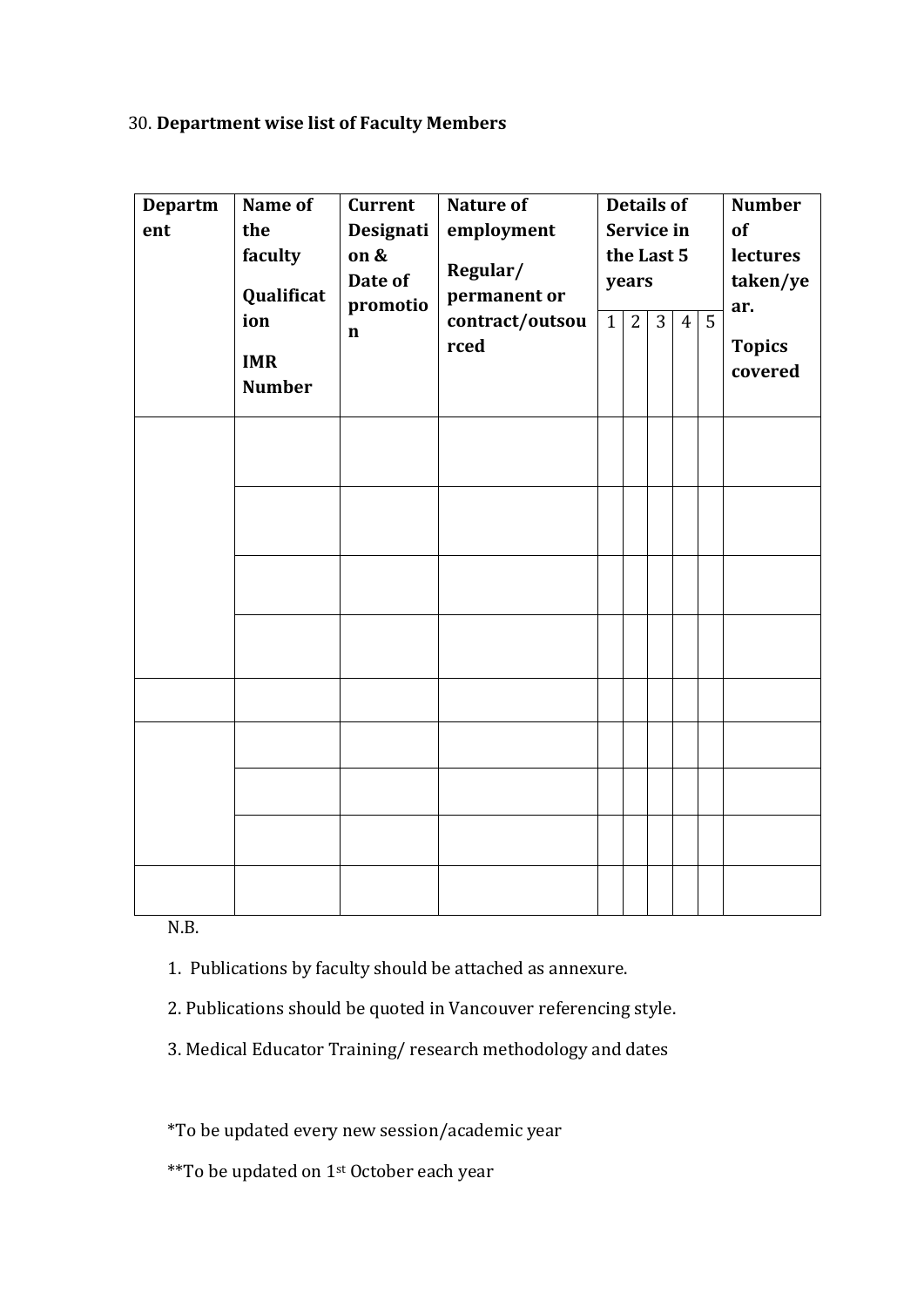### 30. **Department wise list of Faculty Members**

| <b>Departm</b><br>ent | Name of<br>the<br>faculty<br>Qualificat<br>ion<br><b>IMR</b><br><b>Number</b> | <b>Current</b><br>Designati<br>on &<br>Date of<br>promotio<br>$\mathbf n$ | <b>Nature of</b><br>employment<br>Regular/<br>permanent or<br>contract/outsou<br>rced | 1 | years<br>2 | <b>Details of</b><br>Service in<br>the Last 5<br>$\overline{3}$ | $\overline{4}$ | $\overline{5}$ | <b>Number</b><br>of<br>lectures<br>taken/ye<br>ar.<br><b>Topics</b><br>covered |
|-----------------------|-------------------------------------------------------------------------------|---------------------------------------------------------------------------|---------------------------------------------------------------------------------------|---|------------|-----------------------------------------------------------------|----------------|----------------|--------------------------------------------------------------------------------|
|                       |                                                                               |                                                                           |                                                                                       |   |            |                                                                 |                |                |                                                                                |
|                       |                                                                               |                                                                           |                                                                                       |   |            |                                                                 |                |                |                                                                                |
|                       |                                                                               |                                                                           |                                                                                       |   |            |                                                                 |                |                |                                                                                |
|                       |                                                                               |                                                                           |                                                                                       |   |            |                                                                 |                |                |                                                                                |
|                       |                                                                               |                                                                           |                                                                                       |   |            |                                                                 |                |                |                                                                                |
|                       |                                                                               |                                                                           |                                                                                       |   |            |                                                                 |                |                |                                                                                |
|                       |                                                                               |                                                                           |                                                                                       |   |            |                                                                 |                |                |                                                                                |
|                       |                                                                               |                                                                           |                                                                                       |   |            |                                                                 |                |                |                                                                                |
|                       |                                                                               |                                                                           |                                                                                       |   |            |                                                                 |                |                |                                                                                |

N.B.

- 1. Publications by faculty should be attached as annexure.
- 2. Publications should be quoted in Vancouver referencing style.
- 3. Medical Educator Training/ research methodology and dates

\*To be updated every new session/academic year

\*\*To be updated on 1st October each year